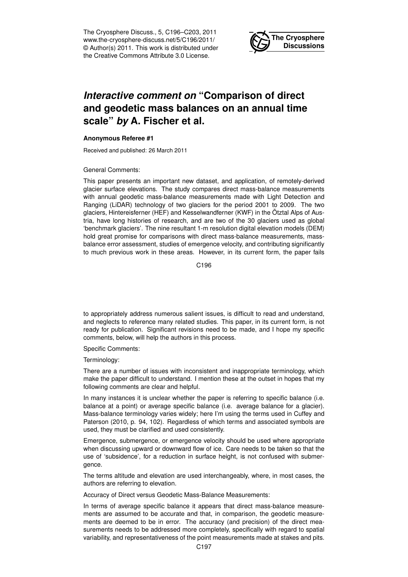The Cryosphere Discuss., 5, C196–C203, 2011 www.the-cryosphere-discuss.net/5/C196/2011/ © Author(s) 2011. This work is distributed under the Creative Commons Attribute 3.0 License.



# *Interactive comment on* **"Comparison of direct and geodetic mass balances on an annual time scale"** *by* **A. Fischer et al.**

### **Anonymous Referee #1**

Received and published: 26 March 2011

#### General Comments:

This paper presents an important new dataset, and application, of remotely-derived glacier surface elevations. The study compares direct mass-balance measurements with annual geodetic mass-balance measurements made with Light Detection and Ranging (LiDAR) technology of two glaciers for the period 2001 to 2009. The two glaciers, Hintereisferner (HEF) and Kesselwandferner (KWF) in the Ötztal Alps of Austria, have long histories of research, and are two of the 30 glaciers used as global 'benchmark glaciers'. The nine resultant 1-m resolution digital elevation models (DEM) hold great promise for comparisons with direct mass-balance measurements, massbalance error assessment, studies of emergence velocity, and contributing significantly to much previous work in these areas. However, in its current form, the paper fails

C<sub>196</sub>

to appropriately address numerous salient issues, is difficult to read and understand, and neglects to reference many related studies. This paper, in its current form, is not ready for publication. Significant revisions need to be made, and I hope my specific comments, below, will help the authors in this process.

Specific Comments:

Terminology:

There are a number of issues with inconsistent and inappropriate terminology, which make the paper difficult to understand. I mention these at the outset in hopes that my following comments are clear and helpful.

In many instances it is unclear whether the paper is referring to specific balance (i.e. balance at a point) or average specific balance (i.e. average balance for a glacier). Mass-balance terminology varies widely; here I'm using the terms used in Cuffey and Paterson (2010, p. 94, 102). Regardless of which terms and associated symbols are used, they must be clarified and used consistently.

Emergence, submergence, or emergence velocity should be used where appropriate when discussing upward or downward flow of ice. Care needs to be taken so that the use of 'subsidence', for a reduction in surface height, is not confused with submergence.

The terms altitude and elevation are used interchangeably, where, in most cases, the authors are referring to elevation.

Accuracy of Direct versus Geodetic Mass-Balance Measurements:

In terms of average specific balance it appears that direct mass-balance measurements are assumed to be accurate and that, in comparison, the geodetic measurements are deemed to be in error. The accuracy (and precision) of the direct measurements needs to be addressed more completely, specifically with regard to spatial variability, and representativeness of the point measurements made at stakes and pits.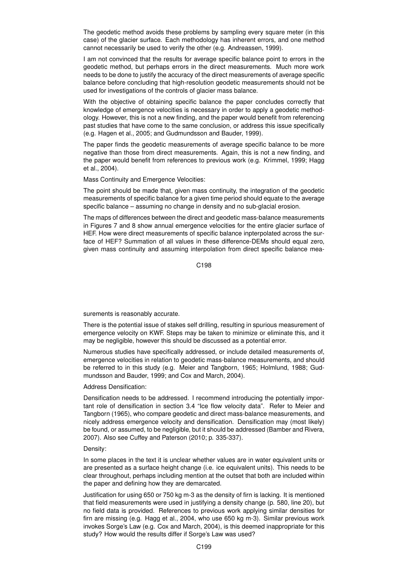The geodetic method avoids these problems by sampling every square meter (in this case) of the glacier surface. Each methodology has inherent errors, and one method cannot necessarily be used to verify the other (e.g. Andreassen, 1999).

I am not convinced that the results for average specific balance point to errors in the geodetic method, but perhaps errors in the direct measurements. Much more work needs to be done to justify the accuracy of the direct measurements of average specific balance before concluding that high-resolution geodetic measurements should not be used for investigations of the controls of glacier mass balance.

With the objective of obtaining specific balance the paper concludes correctly that knowledge of emergence velocities is necessary in order to apply a geodetic methodology. However, this is not a new finding, and the paper would benefit from referencing past studies that have come to the same conclusion, or address this issue specifically (e.g. Hagen et al., 2005; and Gudmundsson and Bauder, 1999).

The paper finds the geodetic measurements of average specific balance to be more negative than those from direct measurements. Again, this is not a new finding, and the paper would benefit from references to previous work (e.g. Krimmel, 1999; Hagg et al., 2004).

Mass Continuity and Emergence Velocities:

The point should be made that, given mass continuity, the integration of the geodetic measurements of specific balance for a given time period should equate to the average specific balance – assuming no change in density and no sub-glacial erosion.

The maps of differences between the direct and geodetic mass-balance measurements in Figures 7 and 8 show annual emergence velocities for the entire glacier surface of HEF. How were direct measurements of specific balance inpterpolated across the surface of HEF? Summation of all values in these difference-DEMs should equal zero, given mass continuity and assuming interpolation from direct specific balance mea-

C<sub>198</sub>

surements is reasonably accurate.

There is the potential issue of stakes self drilling, resulting in spurious measurement of emergence velocity on KWF. Steps may be taken to minimize or eliminate this, and it may be negligible, however this should be discussed as a potential error.

Numerous studies have specifically addressed, or include detailed measurements of, emergence velocities in relation to geodetic mass-balance measurements, and should be referred to in this study (e.g. Meier and Tangborn, 1965; Holmlund, 1988; Gudmundsson and Bauder, 1999; and Cox and March, 2004).

# Address Densification:

Densification needs to be addressed. I recommend introducing the potentially important role of densification in section 3.4 "Ice flow velocity data". Refer to Meier and Tangborn (1965), who compare geodetic and direct mass-balance measurements, and nicely address emergence velocity and densification. Densification may (most likely) be found, or assumed, to be negligible, but it should be addressed (Bamber and Rivera, 2007). Also see Cuffey and Paterson (2010; p. 335-337).

## Density:

In some places in the text it is unclear whether values are in water equivalent units or are presented as a surface height change (i.e. ice equivalent units). This needs to be clear throughout, perhaps including mention at the outset that both are included within the paper and defining how they are demarcated.

Justification for using 650 or 750 kg m-3 as the density of firn is lacking. It is mentioned that field measurements were used in justifying a density change (p. 580, line 20), but no field data is provided. References to previous work applying similar densities for firn are missing (e.g. Hagg et al., 2004, who use 650 kg m-3). Similar previous work invokes Sorge's Law (e.g. Cox and March, 2004), is this deemed inappropriate for this study? How would the results differ if Sorge's Law was used?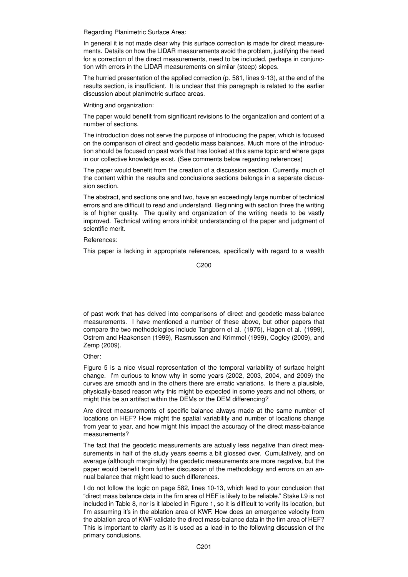Regarding Planimetric Surface Area:

In general it is not made clear why this surface correction is made for direct measurements. Details on how the LIDAR measurements avoid the problem, justifying the need for a correction of the direct measurements, need to be included, perhaps in conjunction with errors in the LIDAR measurements on similar (steep) slopes.

The hurried presentation of the applied correction (p. 581, lines 9-13), at the end of the results section, is insufficient. It is unclear that this paragraph is related to the earlier discussion about planimetric surface areas.

Writing and organization:

The paper would benefit from significant revisions to the organization and content of a number of sections.

The introduction does not serve the purpose of introducing the paper, which is focused on the comparison of direct and geodetic mass balances. Much more of the introduction should be focused on past work that has looked at this same topic and where gaps in our collective knowledge exist. (See comments below regarding references)

The paper would benefit from the creation of a discussion section. Currently, much of the content within the results and conclusions sections belongs in a separate discussion section.

The abstract, and sections one and two, have an exceedingly large number of technical errors and are difficult to read and understand. Beginning with section three the writing is of higher quality. The quality and organization of the writing needs to be vastly improved. Technical writing errors inhibit understanding of the paper and judgment of scientific merit.

References:

This paper is lacking in appropriate references, specifically with regard to a wealth

C200

of past work that has delved into comparisons of direct and geodetic mass-balance measurements. I have mentioned a number of these above, but other papers that compare the two methodologies include Tangborn et al. (1975), Hagen et al. (1999), Ostrem and Haakensen (1999), Rasmussen and Krimmel (1999), Cogley (2009), and Zemp (2009).

Other:

Figure 5 is a nice visual representation of the temporal variability of surface height change. I'm curious to know why in some years (2002, 2003, 2004, and 2009) the curves are smooth and in the others there are erratic variations. Is there a plausible, physically-based reason why this might be expected in some years and not others, or might this be an artifact within the DEMs or the DEM differencing?

Are direct measurements of specific balance always made at the same number of locations on HEF? How might the spatial variability and number of locations change from year to year, and how might this impact the accuracy of the direct mass-balance measurements?

The fact that the geodetic measurements are actually less negative than direct measurements in half of the study years seems a bit glossed over. Cumulatively, and on average (although marginally) the geodetic measurements are more negative, but the paper would benefit from further discussion of the methodology and errors on an annual balance that might lead to such differences.

I do not follow the logic on page 582, lines 10-13, which lead to your conclusion that "direct mass balance data in the firn area of HEF is likely to be reliable." Stake L9 is not included in Table 8, nor is it labeled in Figure 1, so it is difficult to verify its location, but I'm assuming it's in the ablation area of KWF. How does an emergence velocity from the ablation area of KWF validate the direct mass-balance data in the firn area of HEF? This is important to clarify as it is used as a lead-in to the following discussion of the primary conclusions.